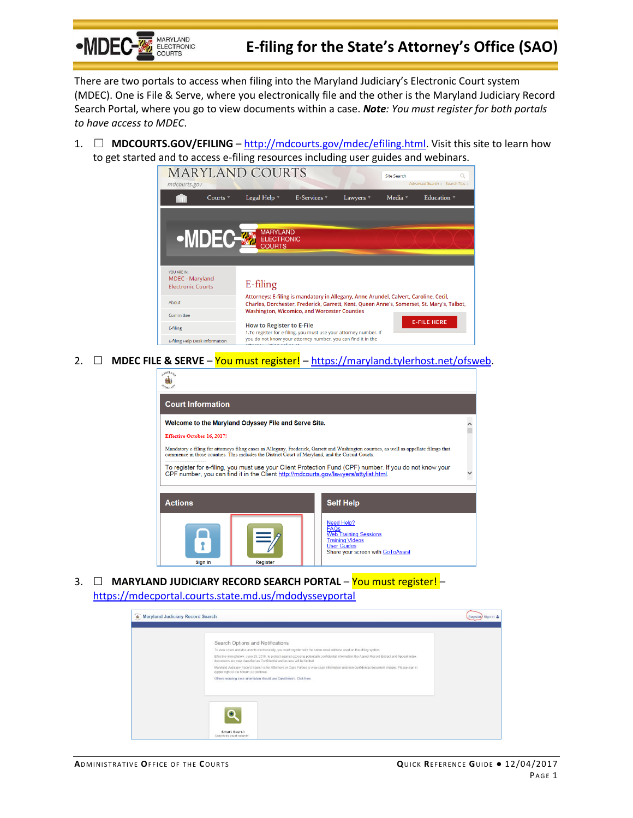

## **E-filing for the State's Attorney's Office (SAO)**

There are two portals to access when filing into the Maryland Judiciary's Electronic Court system (MDEC). One is File & Serve, where you electronically file and the other is the Maryland Judiciary Record Search Portal, where you go to view documents within a case. *Note: You must register for both portals to have access to MDEC*.

1. ☐ **MDCOURTS.GOV/EFILING** – [http://mdcourts.gov/mdec/efiling.html.](http://mdcourts.gov/mdec/efiling.html) Visit this site to learn how to get started and to access e-filing resources including user guides and webinars.



2.  $\Box$  **MDEC FILE & SERVE** – You must register! – [https://maryland.tylerhost.net/ofsweb.](https://maryland.tylerhost.net/ofsweb)

| Welcome to the Maryland Odyssey File and Serve Site.                                                                                                                                                                                          |  |
|-----------------------------------------------------------------------------------------------------------------------------------------------------------------------------------------------------------------------------------------------|--|
|                                                                                                                                                                                                                                               |  |
| Mandatory e-filing for attorneys filing cases in Allegany, Frederick, Garrett and Washington counties, as well as appellate filings that<br>commence in those counties. This includes the District Court of Maryland, and the Circuit Courts. |  |
| To register for e-filing, you must use your Client Protection Fund (CPF) number. If you do not know your<br>CPF number, you can find it in the Client http://mdcourts.gov/lawyers/attylist.html.                                              |  |
| <b>Self Help</b>                                                                                                                                                                                                                              |  |
| Need Help?<br><b>FAQs</b><br><b>Web Training Sessions</b><br><b>Training Videos</b><br><b>User Guides</b><br>Share your screen with GoToAssist                                                                                                |  |
|                                                                                                                                                                                                                                               |  |

3. ☐ **MARYLAND JUDICIARY RECORD SEARCH PORTAL** – You must register! – <https://mdecportal.courts.state.md.us/mdodysseyportal>

| <b>Jo</b> Maryland Judiciary Record Search |                                                                                                                                                                                                                                                                                                                                                                                                                               | Register Sign In |
|--------------------------------------------|-------------------------------------------------------------------------------------------------------------------------------------------------------------------------------------------------------------------------------------------------------------------------------------------------------------------------------------------------------------------------------------------------------------------------------|------------------|
|                                            | Search Options and Notifications<br>To view cases and documents electronically, you must register with the same email address used on the effing system.                                                                                                                                                                                                                                                                      |                  |
|                                            | Effective immediately, June 23, 2016, to protect against exposing potentially confidential information the Appeal Record Extract and Appeal Index.<br>documents are now classified as Confidential and access will be limited.<br>Maryland Judiciary Record Search is for Attorneys or Case Parties to view case information and non-confidential document images. Please sign in<br>(upper right of the screen) to continue. |                  |
|                                            | Others requiring case information should use CaseSearch. Click here.                                                                                                                                                                                                                                                                                                                                                          |                  |
|                                            |                                                                                                                                                                                                                                                                                                                                                                                                                               |                  |
|                                            | Smart Search<br>Search for court records.                                                                                                                                                                                                                                                                                                                                                                                     |                  |